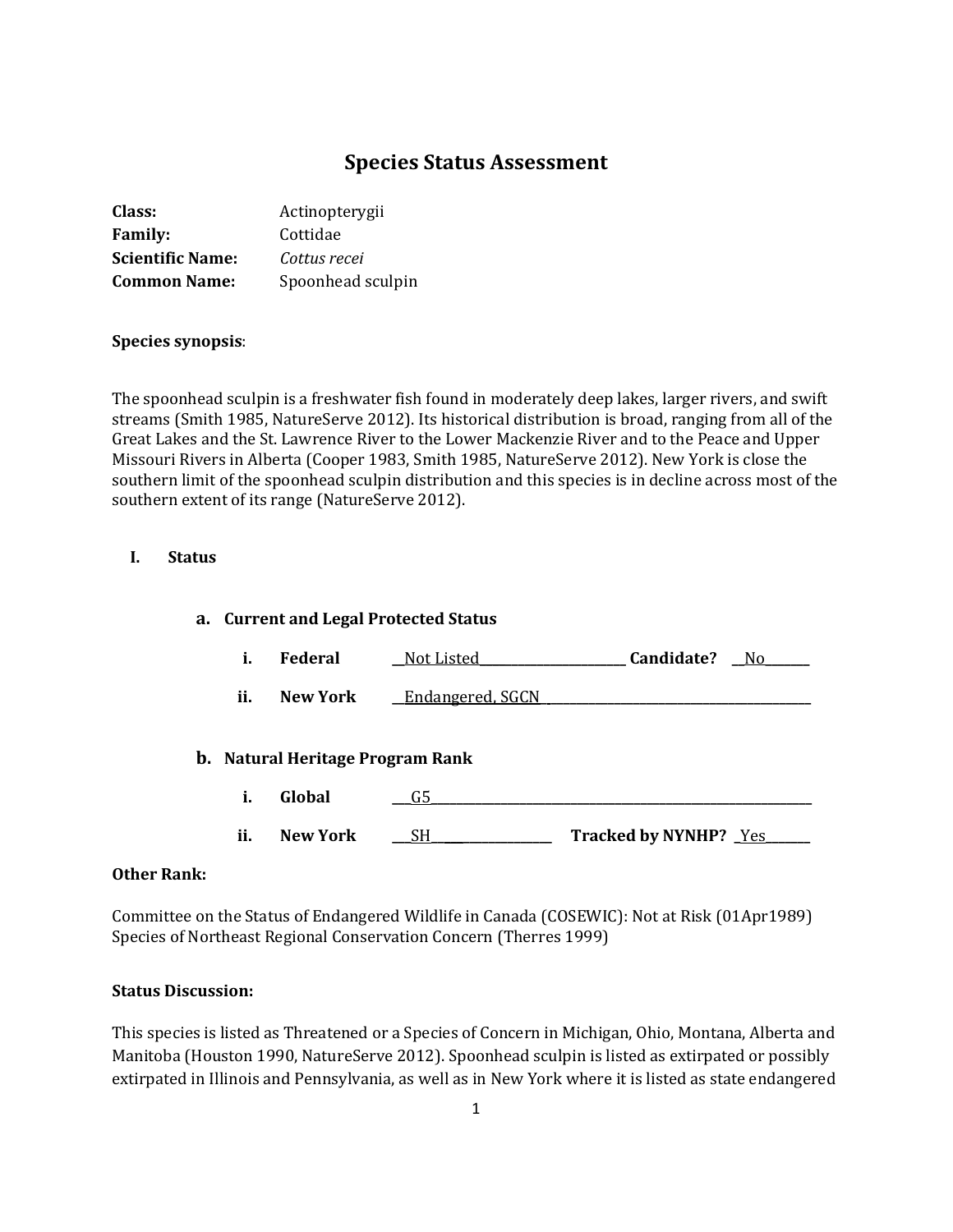# **Species Status Assessment**

| Actinopterygii    |
|-------------------|
| Cottidae          |
| Cottus recei      |
| Spoonhead sculpin |
|                   |

## **Species synopsis**:

The spoonhead sculpin is a freshwater fish found in moderately deep lakes, larger rivers, and swift streams (Smith 1985, NatureServe 2012). Its historical distribution is broad, ranging from all of the Great Lakes and the St. Lawrence River to the Lower Mackenzie River and to the Peace and Upper Missouri Rivers in Alberta (Cooper 1983, Smith 1985, NatureServe 2012). New York is close the southern limit of the spoonhead sculpin distribution and this species is in decline across most of the southern extent of its range (NatureServe 2012).

#### **I. Status**

# **a. Current and Legal Protected Status i. Federal \_\_**Not Listed**\_\_\_\_\_\_\_\_\_\_\_\_\_\_\_\_\_\_\_\_\_\_\_ Candidate? \_\_**No**\_\_\_\_\_\_\_ ii. New York \_\_Endangered, SGCN b. Natural Heritage Program Rank i. Global \_\_\_**G5**\_\_\_\_\_\_\_\_\_\_\_\_\_\_\_\_\_\_\_\_\_\_\_\_\_\_\_\_\_\_\_\_\_\_\_\_\_\_\_\_\_\_\_\_\_\_\_\_\_\_\_\_\_\_\_\_\_\_\_\_ ii. New York** <u>SH \_\_\_\_\_\_\_\_\_\_</u> Tracked by NYNHP?  $\frac{Yes}{Y}$

#### **Other Rank:**

Committee on the Status of Endangered Wildlife in Canada (COSEWIC): Not at Risk (01Apr1989) Species of Northeast Regional Conservation Concern (Therres 1999)

#### **Status Discussion:**

This species is listed as Threatened or a Species of Concern in Michigan, Ohio, Montana, Alberta and Manitoba (Houston 1990, NatureServe 2012). Spoonhead sculpin is listed as extirpated or possibly extirpated in Illinois and Pennsylvania, as well as in New York where it is listed as state endangered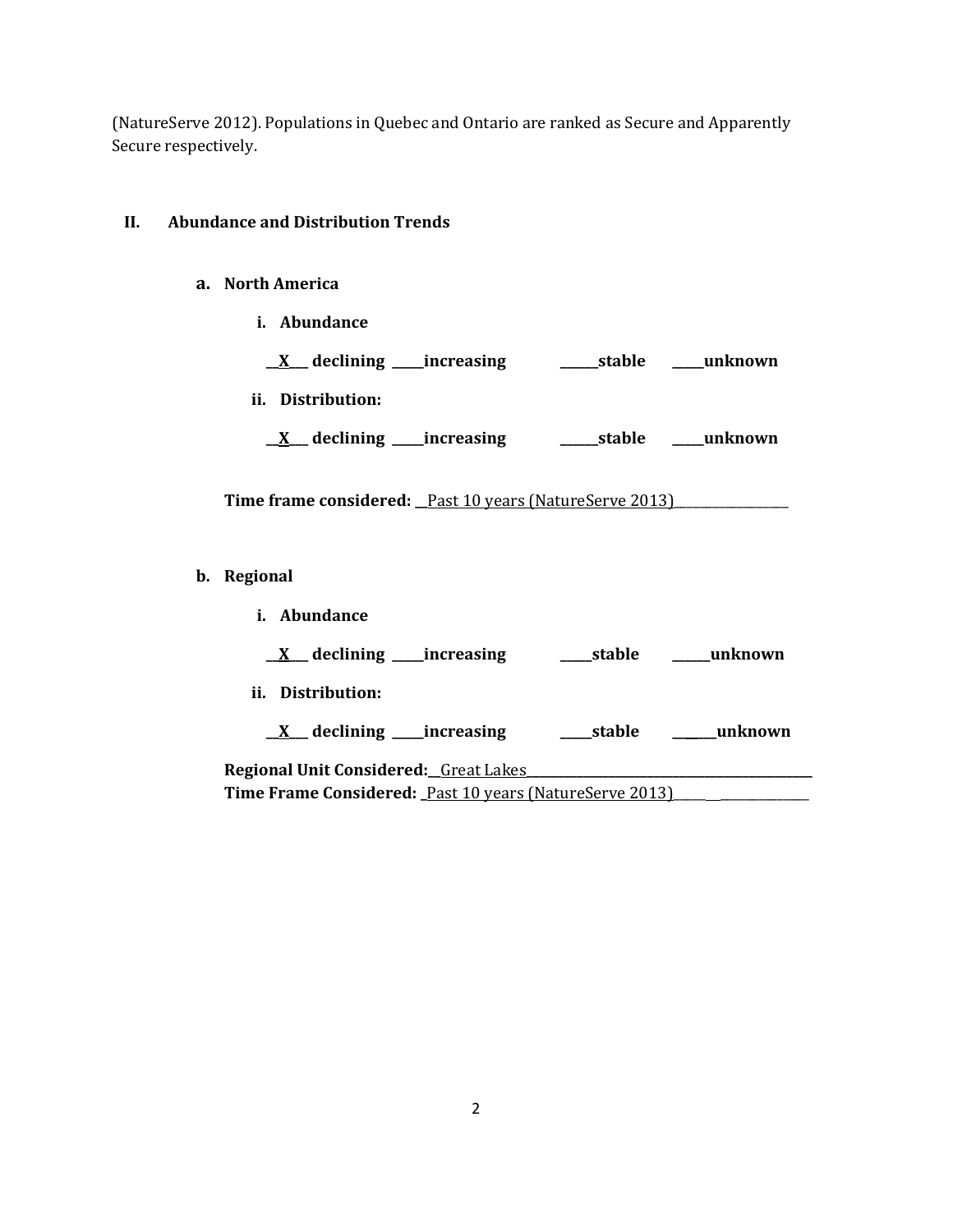(NatureServe 2012). Populations in Quebec and Ontario are ranked as Secure and Apparently Secure respectively.

## **II. Abundance and Distribution Trends**

#### **a. North America**

**i. Abundance**

| $\underline{X}$ declining ____increasing | _______stable | <b>unknown</b> |
|------------------------------------------|---------------|----------------|
|                                          |               |                |

- **ii. Distribution:**
	- **\_\_X\_\_\_ declining \_\_\_\_\_increasing \_\_\_\_\_\_stable \_\_\_\_\_unknown**

Time frame considered: \_Past 10 years (NatureServe 2013)\_\_\_\_\_\_\_\_\_\_\_\_\_\_\_\_\_\_\_\_\_\_\_\_

- **b. Regional** 
	- **i. Abundance**

**\_\_X\_\_\_ declining \_\_\_\_\_increasing \_\_\_\_\_stable \_\_\_\_\_\_unknown**

**ii. Distribution:**

**\_\_X\_\_\_ declining \_\_\_\_\_increasing \_\_\_\_\_stable \_\_\_\_\_\_\_unknown**

**Regional Unit Considered:\_\_**Great Lakes**\_\_\_\_\_\_\_\_\_\_\_\_\_\_\_\_\_\_\_\_\_\_\_\_\_\_\_\_\_\_\_\_\_\_\_\_\_\_\_\_\_\_\_\_\_** Time Frame Considered: *\_Past 10 years (NatureServe 2013)\_\_\_\_\_\_\_\_\_\_\_\_\_\_\_\_\_\_\_\_*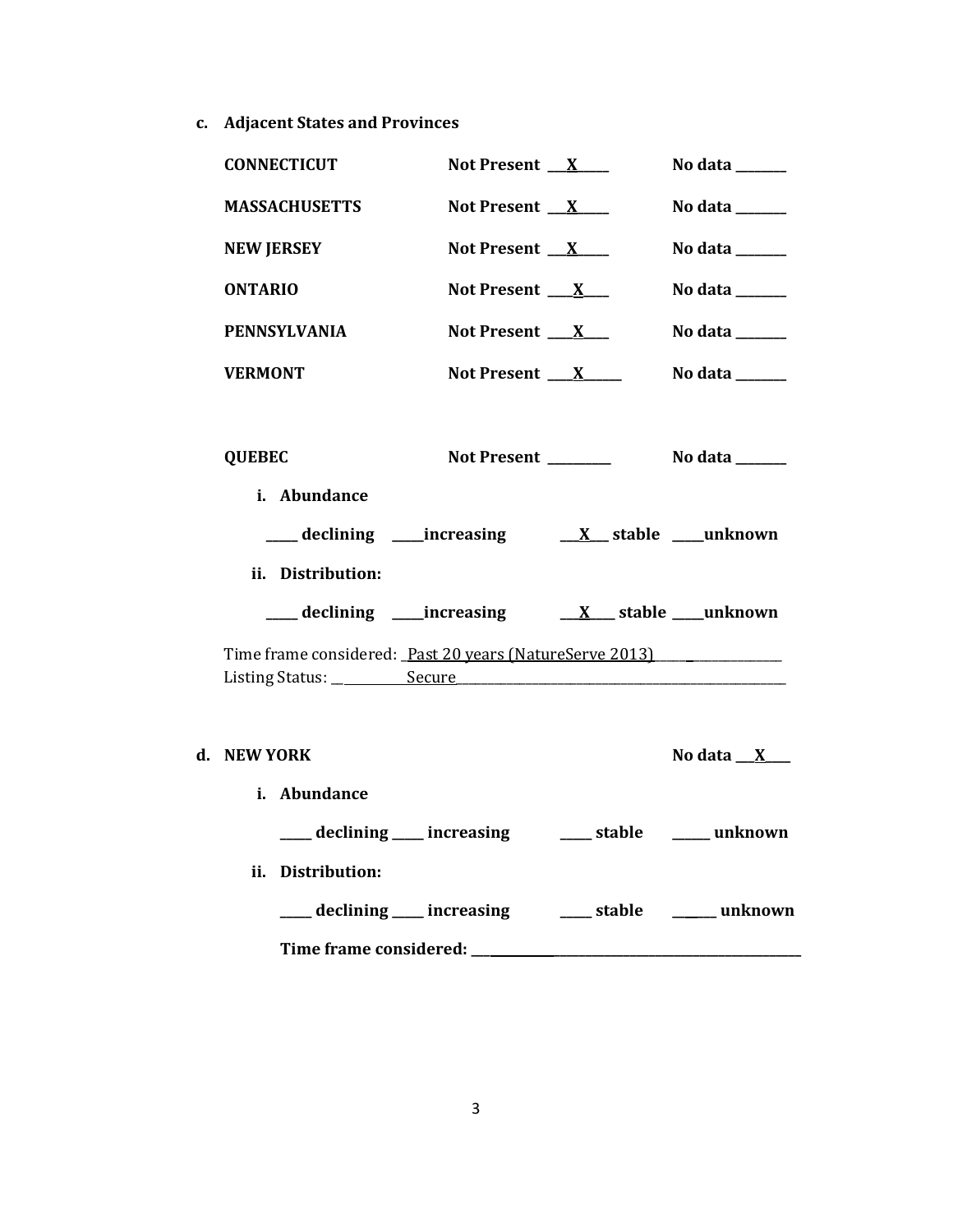**c. Adjacent States and Provinces**

| <b>CONNECTICUT</b>                                      | Not Present $X$                                     | No data ______                                                              |
|---------------------------------------------------------|-----------------------------------------------------|-----------------------------------------------------------------------------|
| <b>MASSACHUSETTS</b>                                    | Not Present $X$                                     | No data ______                                                              |
| <b>NEW JERSEY</b>                                       | Not Present $X$                                     | No data ______                                                              |
| <b>ONTARIO</b>                                          | Not Present $X_{-}$                                 | No data $\frac{1}{\sqrt{1-\frac{1}{2}}\cdot\frac{1}{\sqrt{1-\frac{1}{2}}}}$ |
| <b>PENNSYLVANIA</b>                                     | Not Present $X_{\text{max}}$                        | No data $\frac{1}{\sqrt{1-\frac{1}{2}}\cdot\frac{1}{\sqrt{1-\frac{1}{2}}}}$ |
| <b>VERMONT</b>                                          | Not Present $X$                                     | No data $\_\_\_\_\_\_\_\_\_\_\_\_\$                                         |
|                                                         |                                                     |                                                                             |
| <b>QUEBEC</b>                                           | Not Present _______                                 | No data $\_\_\_\_\_\_\_\_\_\_\$                                             |
| i. Abundance                                            |                                                     |                                                                             |
|                                                         |                                                     |                                                                             |
| ii. Distribution:                                       |                                                     |                                                                             |
|                                                         |                                                     |                                                                             |
| Time frame considered: Past 20 years (NatureServe 2013) |                                                     |                                                                             |
|                                                         |                                                     |                                                                             |
|                                                         |                                                     |                                                                             |
| d. NEW YORK                                             |                                                     | No data $X$                                                                 |
| i. Abundance                                            |                                                     |                                                                             |
|                                                         | ___ declining ___ increasing ___ stable ___ unknown |                                                                             |
| ii. Distribution:                                       |                                                     |                                                                             |
|                                                         |                                                     |                                                                             |
|                                                         |                                                     |                                                                             |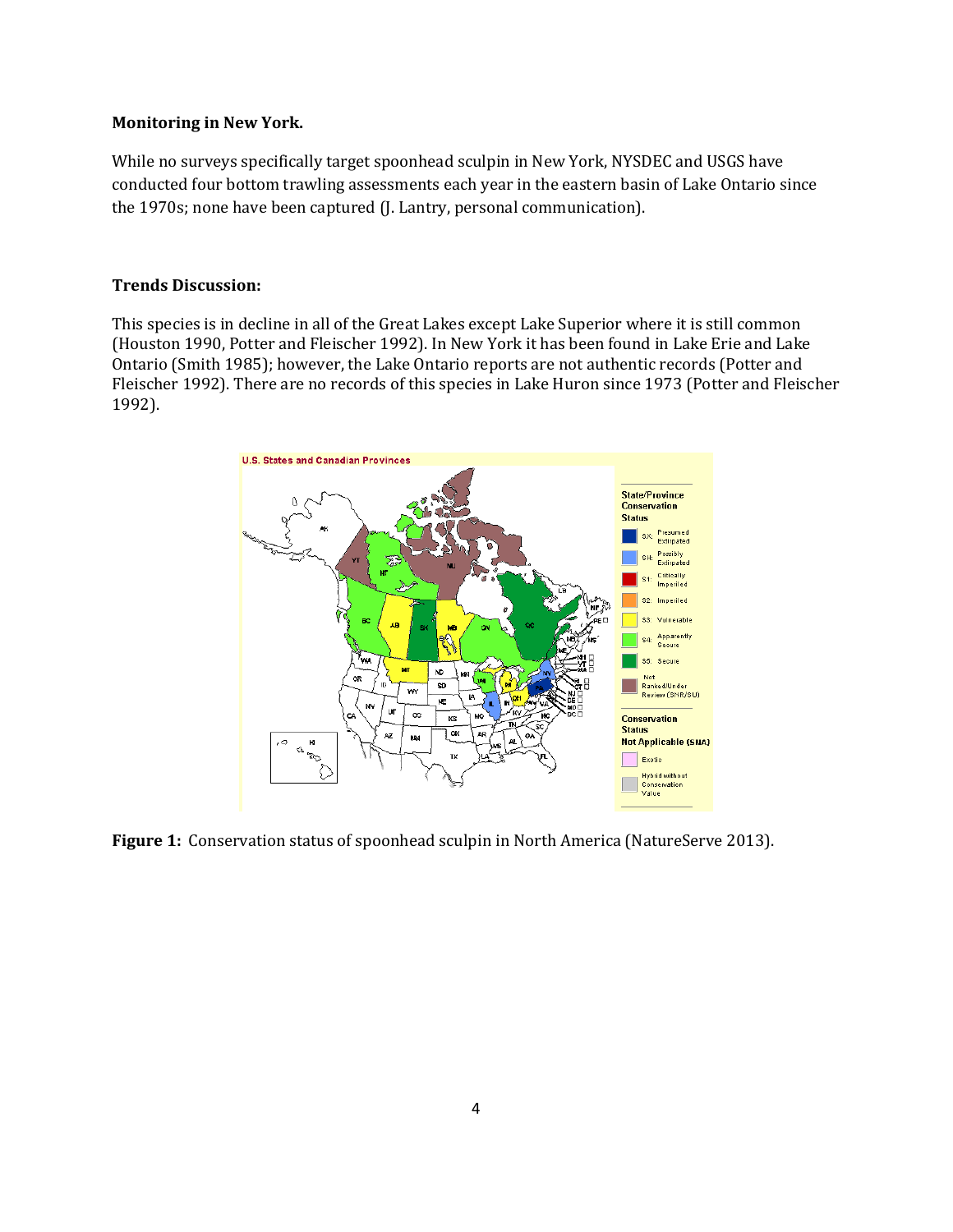## **Monitoring in New York.**

While no surveys specifically target spoonhead sculpin in New York, NYSDEC and USGS have conducted four bottom trawling assessments each year in the eastern basin of Lake Ontario since the 1970s; none have been captured (J. Lantry, personal communication).

#### **Trends Discussion:**

This species is in decline in all of the Great Lakes except Lake Superior where it is still common (Houston 1990, Potter and Fleischer 1992). In New York it has been found in Lake Erie and Lake Ontario (Smith 1985); however, the Lake Ontario reports are not authentic records (Potter and Fleischer 1992). There are no records of this species in Lake Huron since 1973 (Potter and Fleischer 1992).



**Figure 1:** Conservation status of spoonhead sculpin in North America (NatureServe 2013).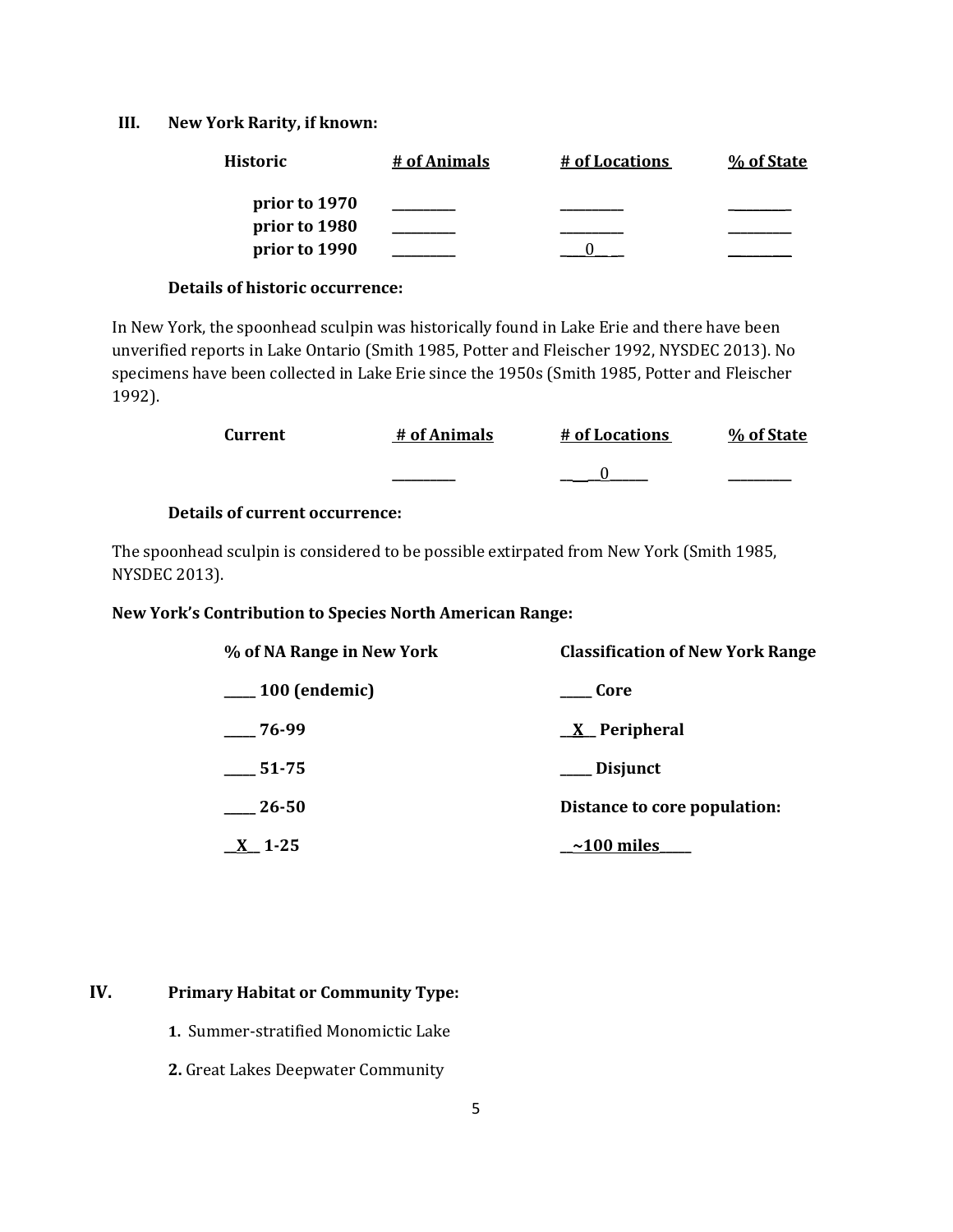#### **III. New York Rarity, if known:**

| <b>Historic</b> | # of Animals | # of Locations | % of State |
|-----------------|--------------|----------------|------------|
| prior to 1970   |              |                |            |
| prior to 1980   |              |                |            |
| prior to 1990   |              |                |            |

#### **Details of historic occurrence:**

In New York, the spoonhead sculpin was historically found in Lake Erie and there have been unverified reports in Lake Ontario (Smith 1985, Potter and Fleischer 1992, NYSDEC 2013). No specimens have been collected in Lake Erie since the 1950s (Smith 1985, Potter and Fleischer 1992).

| Current | # of Animals | # of Locations | % of State |
|---------|--------------|----------------|------------|
|         |              |                |            |

## **Details of current occurrence:**

The spoonhead sculpin is considered to be possible extirpated from New York (Smith 1985, NYSDEC 2013).

#### **New York's Contribution to Species North American Range:**

| % of NA Range in New York | <b>Classification of New York Range</b> |
|---------------------------|-----------------------------------------|
| $\sim$ 100 (endemic)      | Core                                    |
| $-76-99$                  | $X$ Peripheral                          |
| $-51-75$                  | ___ Disjunct                            |
| 26-50                     | Distance to core population:            |
| $X_{1-}1-25$              | $\sim$ 100 miles                        |

## **IV. Primary Habitat or Community Type:**

- **1.** Summer-stratified Monomictic Lake
- **2.** Great Lakes Deepwater Community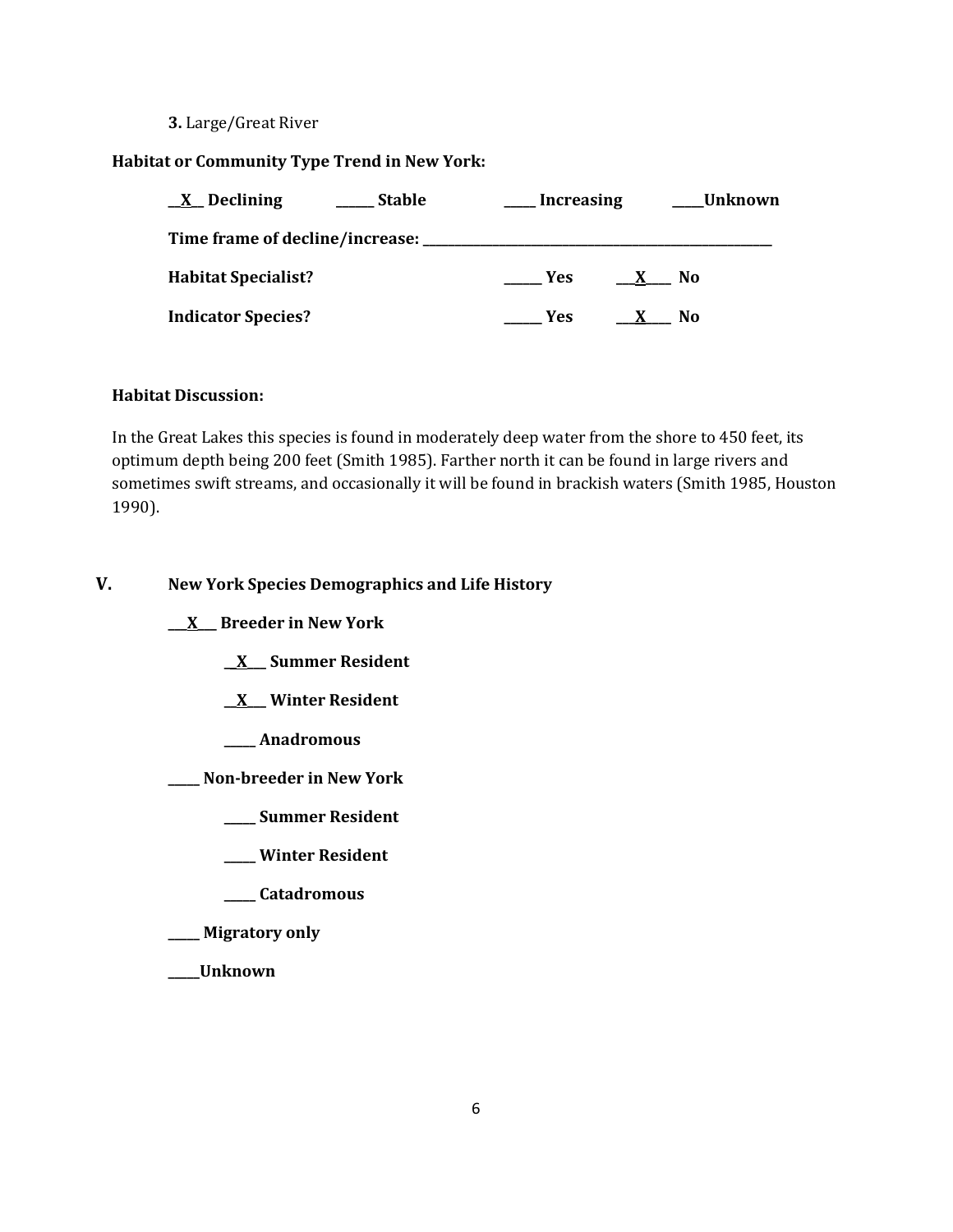#### **3.** Large/Great River

## **Habitat or Community Type Trend in New York:**

| $\underline{X}$ Declining<br><b>Stable</b> | Increasing           | Unknown        |
|--------------------------------------------|----------------------|----------------|
| Time frame of decline/increase: ___        |                      |                |
| <b>Habitat Specialist?</b>                 | Yes:<br>$\mathbf{X}$ | No.            |
| <b>Indicator Species?</b>                  | Yes.                 | N <sub>0</sub> |

# **Habitat Discussion:**

In the Great Lakes this species is found in moderately deep water from the shore to 450 feet, its optimum depth being 200 feet (Smith 1985). Farther north it can be found in large rivers and sometimes swift streams, and occasionally it will be found in brackish waters (Smith 1985, Houston 1990).

## **V. New York Species Demographics and Life History**

**\_\_\_X\_\_\_ Breeder in New York**

**\_\_X\_\_\_ Summer Resident**

**\_\_X\_\_\_ Winter Resident**

**\_\_\_\_\_ Anadromous**

**\_\_\_\_\_ Non-breeder in New York**

- **\_\_\_\_\_ Summer Resident**
- **\_\_\_\_\_ Winter Resident**
- **\_\_\_\_\_ Catadromous**

**\_\_\_\_\_ Migratory only**

**\_\_\_\_\_Unknown**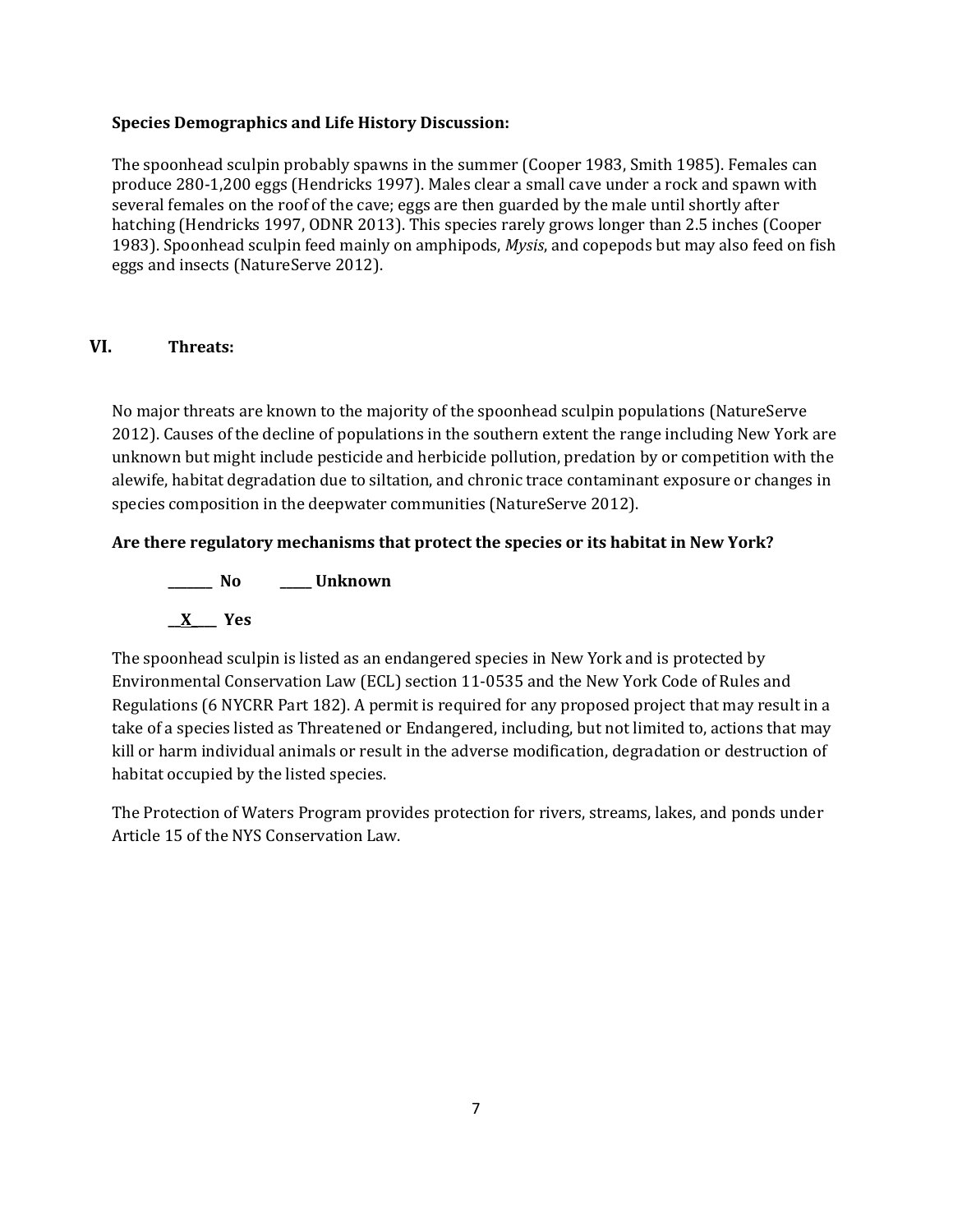## **Species Demographics and Life History Discussion:**

The spoonhead sculpin probably spawns in the summer (Cooper 1983, Smith 1985). Females can produce 280-1,200 eggs (Hendricks 1997). Males clear a small cave under a rock and spawn with several females on the roof of the cave; eggs are then guarded by the male until shortly after hatching (Hendricks 1997, ODNR 2013). This species rarely grows longer than 2.5 inches (Cooper 1983). Spoonhead sculpin feed mainly on amphipods, *Mysis*, and copepods but may also feed on fish eggs and insects (NatureServe 2012).

# **VI. Threats:**

No major threats are known to the majority of the spoonhead sculpin populations (NatureServe 2012). Causes of the decline of populations in the southern extent the range including New York are unknown but might include pesticide and herbicide pollution, predation by or competition with the alewife, habitat degradation due to siltation, and chronic trace contaminant exposure or changes in species composition in the deepwater communities (NatureServe 2012).

# **Are there regulatory mechanisms that protect the species or its habitat in New York?**

**\_\_\_\_\_\_\_ No \_\_\_\_\_ Unknown \_\_X\_\_\_\_ Yes** 

The spoonhead sculpin is listed as an endangered species in New York and is protected by Environmental Conservation Law (ECL) section 11-0535 and the New York Code of Rules and Regulations (6 NYCRR Part 182). A permit is required for any proposed project that may result in a take of a species listed as Threatened or Endangered, including, but not limited to, actions that may kill or harm individual animals or result in the adverse modification, degradation or destruction of habitat occupied by the listed species.

The Protection of Waters Program provides protection for rivers, streams, lakes, and ponds under Article 15 of the NYS Conservation Law.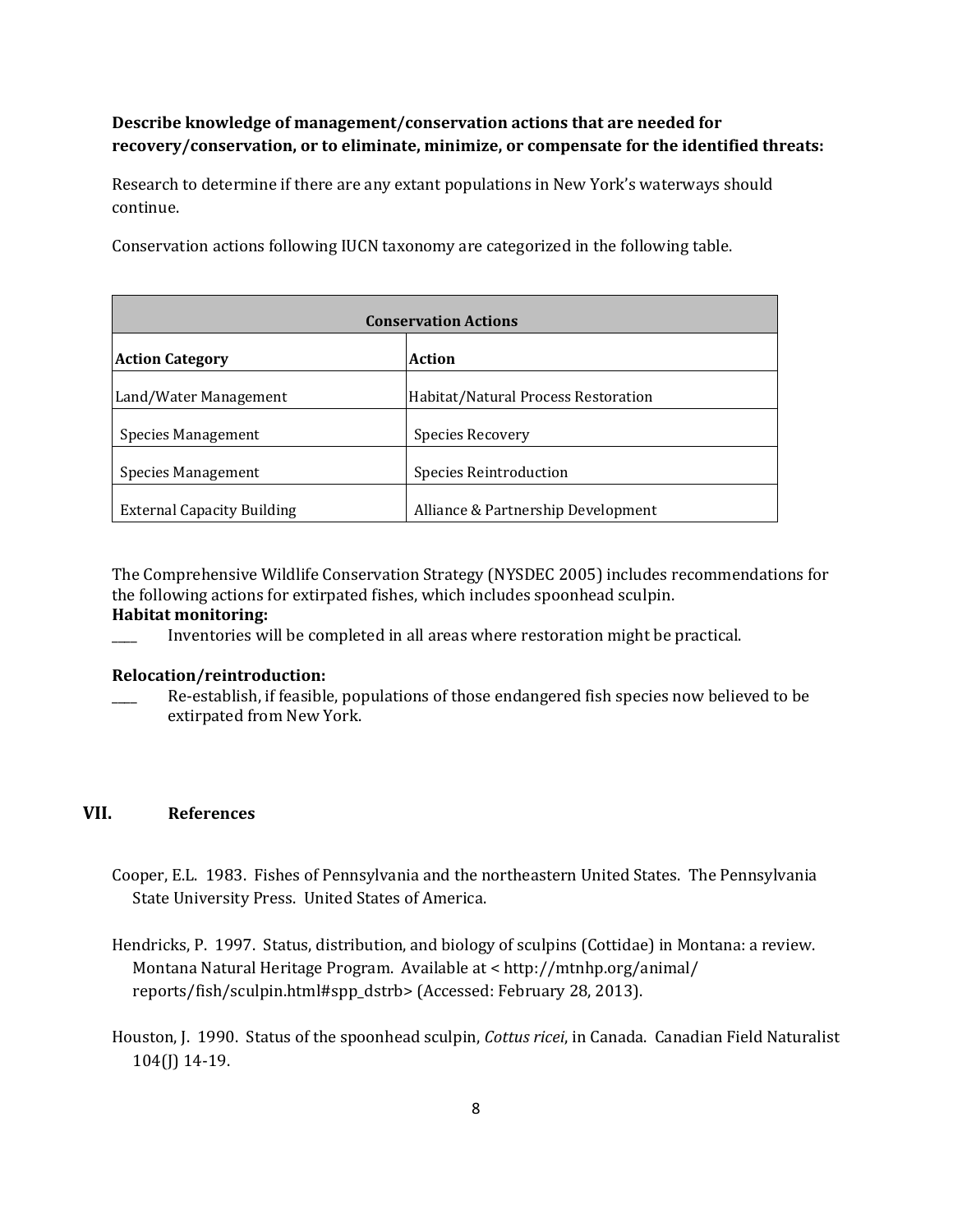# **Describe knowledge of management/conservation actions that are needed for recovery/conservation, or to eliminate, minimize, or compensate for the identified threats:**

Research to determine if there are any extant populations in New York's waterways should continue.

Conservation actions following IUCN taxonomy are categorized in the following table.

| <b>Conservation Actions</b>       |                                     |  |
|-----------------------------------|-------------------------------------|--|
| <b>Action Category</b>            | Action                              |  |
| Land/Water Management             | Habitat/Natural Process Restoration |  |
| Species Management                | Species Recovery                    |  |
| Species Management                | Species Reintroduction              |  |
| <b>External Capacity Building</b> | Alliance & Partnership Development  |  |

The Comprehensive Wildlife Conservation Strategy (NYSDEC 2005) includes recommendations for the following actions for extirpated fishes, which includes spoonhead sculpin.

#### **Habitat monitoring:**

\_\_\_\_ Inventories will be completed in all areas where restoration might be practical.

#### **Relocation/reintroduction:**

\_\_\_\_ Re-establish, if feasible, populations of those endangered fish species now believed to be extirpated from New York.

## **VII. References**

- Cooper, E.L. 1983. Fishes of Pennsylvania and the northeastern United States. The Pennsylvania State University Press. United States of America.
- Hendricks, P. 1997. Status, distribution, and biology of sculpins (Cottidae) in Montana: a review. Montana Natural Heritage Program. Available at < http://mtnhp.org/animal/ reports/fish/sculpin.html#spp\_dstrb> (Accessed: February 28, 2013).
- Houston, J. 1990. Status of the spoonhead sculpin, *Cottus ricei*, in Canada. Canadian Field Naturalist 104(J) 14-19.